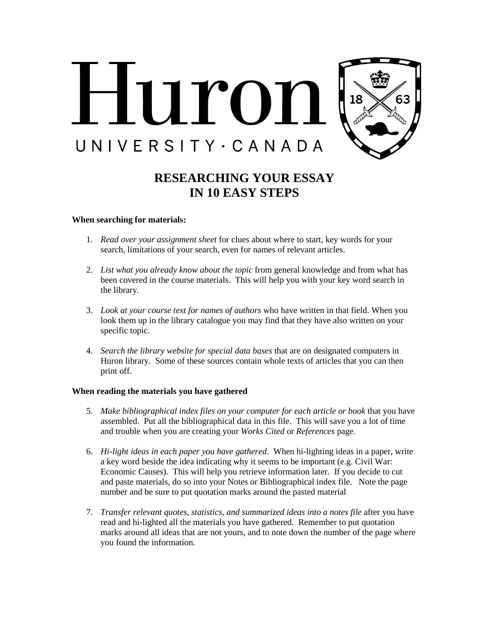

## **RESEARCHING YOUR ESSAY IN 10 EASY STEPS**

## **When searching for materials:**

- 1. *Read over your assignment sheet* for clues about where to start, key words for your search, limitations of your search, even for names of relevant articles.
- 2. *List what you already know about the topic* from general knowledge and from what has been covered in the course materials. This will help you with your key word search in the library.
- 3. *Look at your course text for names of authors* who have written in that field. When you look them up in the library catalogue you may find that they have also written on your specific topic.
- 4. *Search the library website for special data bases* that are on designated computers in Huron library. Some of these sources contain whole texts of articles that you can then print off.

## **When reading the materials you have gathered**

- 5. *Make bibliographical index files on your computer for each article or book* that you have assembled. Put all the bibliographical data in this file. This will save you a lot of time and trouble when you are creating your *Works Cited* or *References* page.
- 6. *Hi-light ideas in each paper you have gathered*. When hi-lighting ideas in a paper, write a key word beside the idea indicating why it seems to be important (e.g. Civil War: Economic Causes). This will help you retrieve information later. If you decide to cut and paste materials, do so into your Notes or Bibliographical index file. Note the page number and be sure to put quotation marks around the pasted material
- 7. *Transfer relevant quotes, statistics, and summarized ideas into a notes file* after you have read and hi-lighted all the materials you have gathered. Remember to put quotation marks around all ideas that are not yours, and to note down the number of the page where you found the information.